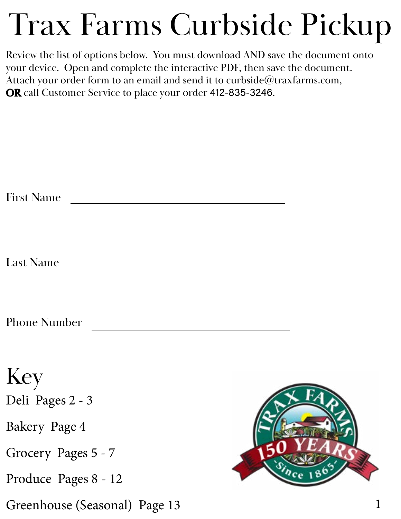# Trax Farms Curbside Pickup

Review the list of options below. You must download AND save the document onto your device. Open and complete the interactive PDF, then save the document. Attach your order form to an email and send it to curbside@traxfarms.com, OR call Customer Service to place your order 412-835-3246.

| <b>First Name</b>             |  |
|-------------------------------|--|
| <b>Last Name</b>              |  |
| <b>Phone Number</b>           |  |
| Key<br>Deli Pages 2 - 3       |  |
| Bakery Page 4                 |  |
| Grocery Pages 5 - 7           |  |
| Produce Pages 8 - 12          |  |
| Greenhouse (Seasonal) Page 13 |  |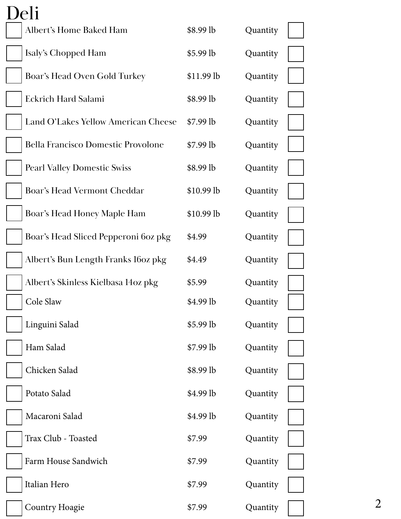| Deli                                      |            |          |
|-------------------------------------------|------------|----------|
| Albert's Home Baked Ham                   | \$8.99 lb  | Quantity |
| Isaly's Chopped Ham                       | \$5.99 lb  | Quantity |
| Boar's Head Oven Gold Turkey              | \$11.99 lb | Quantity |
| Eckrich Hard Salami                       | \$8.99 lb  | Quantity |
| Land O'Lakes Yellow American Cheese       | $$7.99$ lb | Quantity |
| <b>Bella Francisco Domestic Provolone</b> | $$7.99$ lb | Quantity |
| <b>Pearl Valley Domestic Swiss</b>        | \$8.99 lb  | Quantity |
| Boar's Head Vermont Cheddar               | \$10.99 lb | Quantity |
| Boar's Head Honey Maple Ham               | \$10.99 lb | Quantity |
| Boar's Head Sliced Pepperoni 6oz pkg      | \$4.99     | Quantity |
| Albert's Bun Length Franks 16oz pkg       | \$4.49     | Quantity |
| Albert's Skinless Kielbasa 14oz pkg       | \$5.99     | Quantity |
| Cole Slaw                                 | \$4.99 lb  | Quantity |
| Linguini Salad                            | \$5.99 lb  | Quantity |
| Ham Salad                                 | $$7.99$ lb | Quantity |
| Chicken Salad                             | \$8.99 lb  | Quantity |
| Potato Salad                              | \$4.99 lb  | Quantity |
| Macaroni Salad                            | \$4.99 lb  | Quantity |
| Trax Club - Toasted                       | \$7.99     | Quantity |
| Farm House Sandwich                       | \$7.99     | Quantity |
| Italian Hero                              | \$7.99     | Quantity |
| Country Hoagie                            | \$7.99     | Quantity |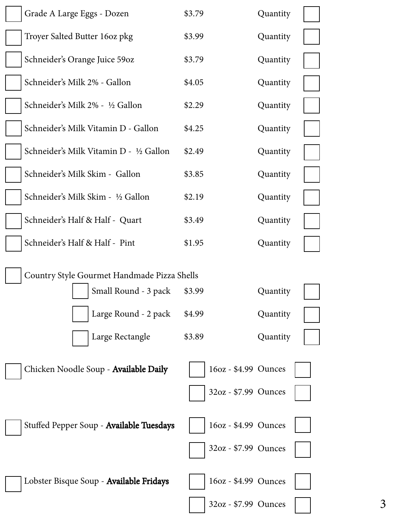| Grade A Large Eggs - Dozen                                          | \$3.79               | Quantity |
|---------------------------------------------------------------------|----------------------|----------|
| Troyer Salted Butter 160z pkg                                       | \$3.99               | Quantity |
| Schneider's Orange Juice 59oz                                       | \$3.79               | Quantity |
| Schneider's Milk 2% - Gallon                                        | \$4.05               | Quantity |
| Schneider's Milk 2% - 1/2 Gallon                                    | \$2.29               | Quantity |
| Schneider's Milk Vitamin D - Gallon                                 | \$4.25               | Quantity |
| Schneider's Milk Vitamin D - ½ Gallon                               | \$2.49               | Quantity |
| Schneider's Milk Skim - Gallon                                      | \$3.85               | Quantity |
| Schneider's Milk Skim - ½ Gallon                                    | \$2.19               | Quantity |
| Schneider's Half & Half - Quart                                     | \$3.49               | Quantity |
| Schneider's Half & Half - Pint                                      | \$1.95               | Quantity |
| Country Style Gourmet Handmade Pizza Shells<br>Small Round - 3 pack | \$3.99               | Quantity |
| Large Round - 2 pack                                                | \$4.99               | Quantity |
| Large Rectangle                                                     | \$3.89               | Quantity |
| Chicken Noodle Soup - Available Daily                               | 16oz - \$4.99 Ounces |          |
|                                                                     |                      |          |
|                                                                     | 32oz - \$7.99 Ounces |          |
| Stuffed Pepper Soup - Available Tuesdays                            | 16oz - \$4.99 Ounces |          |
|                                                                     | 32oz - \$7.99 Ounces |          |
| Lobster Bisque Soup - Available Fridays                             | 16oz - \$4.99 Ounces |          |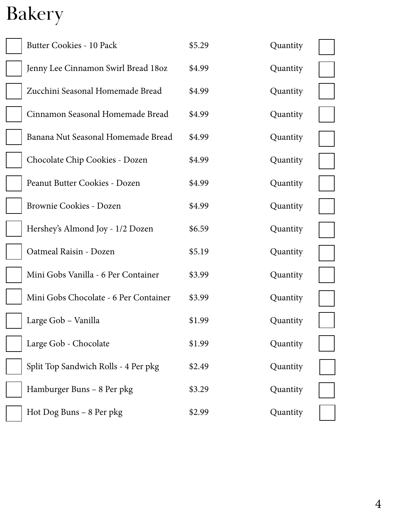## Bakery

| <b>Butter Cookies - 10 Pack</b>       | \$5.29 | Quantity |
|---------------------------------------|--------|----------|
| Jenny Lee Cinnamon Swirl Bread 180z   | \$4.99 | Quantity |
| Zucchini Seasonal Homemade Bread      | \$4.99 | Quantity |
| Cinnamon Seasonal Homemade Bread      | \$4.99 | Quantity |
| Banana Nut Seasonal Homemade Bread    | \$4.99 | Quantity |
| Chocolate Chip Cookies - Dozen        | \$4.99 | Quantity |
| Peanut Butter Cookies - Dozen         | \$4.99 | Quantity |
| Brownie Cookies - Dozen               | \$4.99 | Quantity |
| Hershey's Almond Joy - 1/2 Dozen      | \$6.59 | Quantity |
| Oatmeal Raisin - Dozen                | \$5.19 | Quantity |
| Mini Gobs Vanilla - 6 Per Container   | \$3.99 | Quantity |
| Mini Gobs Chocolate - 6 Per Container | \$3.99 | Quantity |
| Large Gob - Vanilla                   | \$1.99 | Quantity |
| Large Gob - Chocolate                 | \$1.99 | Quantity |
| Split Top Sandwich Rolls - 4 Per pkg  | \$2.49 | Quantity |
| Hamburger Buns - 8 Per pkg            | \$3.29 | Quantity |
| Hot Dog Buns - 8 Per pkg              | \$2.99 | Quantity |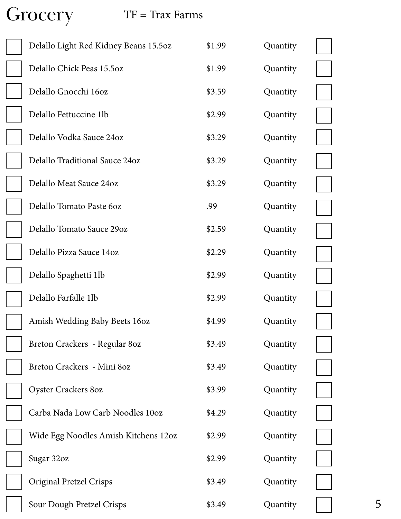Grocery

#### $TF = Tax \, Farms$

| Delallo Light Red Kidney Beans 15.5oz | \$1.99 | Quantity |  |
|---------------------------------------|--------|----------|--|
| Delallo Chick Peas 15.5oz             | \$1.99 | Quantity |  |
| Delallo Gnocchi 16oz                  | \$3.59 | Quantity |  |
| Delallo Fettuccine 1lb                | \$2.99 | Quantity |  |
| Delallo Vodka Sauce 24oz              | \$3.29 | Quantity |  |
| Delallo Traditional Sauce 24oz        | \$3.29 | Quantity |  |
| Delallo Meat Sauce 24oz               | \$3.29 | Quantity |  |
| Delallo Tomato Paste 60z              | .99    | Quantity |  |
| Delallo Tomato Sauce 29oz             | \$2.59 | Quantity |  |
| Delallo Pizza Sauce 14oz              | \$2.29 | Quantity |  |
| Delallo Spaghetti 1lb                 | \$2.99 | Quantity |  |
| Delallo Farfalle 1lb                  | \$2.99 | Quantity |  |
| Amish Wedding Baby Beets 160z         | \$4.99 | Quantity |  |
| Breton Crackers - Regular 80z         | \$3.49 | Quantity |  |
| Breton Crackers - Mini 80z            | \$3.49 | Quantity |  |
| Oyster Crackers 80z                   | \$3.99 | Quantity |  |
| Carba Nada Low Carb Noodles 10oz      | \$4.29 | Quantity |  |
| Wide Egg Noodles Amish Kitchens 12oz  | \$2.99 | Quantity |  |
| Sugar 32oz                            | \$2.99 | Quantity |  |
| <b>Original Pretzel Crisps</b>        | \$3.49 | Quantity |  |
| Sour Dough Pretzel Crisps             | \$3.49 | Quantity |  |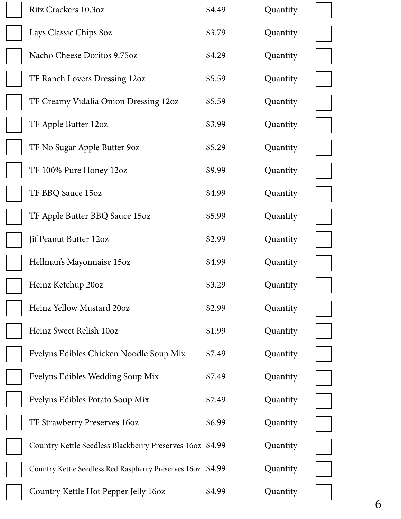| Ritz Crackers 10.3oz                                        | \$4.49 | Quantity |  |
|-------------------------------------------------------------|--------|----------|--|
| Lays Classic Chips 80z                                      | \$3.79 | Quantity |  |
| Nacho Cheese Doritos 9.75oz                                 | \$4.29 | Quantity |  |
| TF Ranch Lovers Dressing 12oz                               | \$5.59 | Quantity |  |
| TF Creamy Vidalia Onion Dressing 12oz                       | \$5.59 | Quantity |  |
| TF Apple Butter 12oz                                        | \$3.99 | Quantity |  |
| TF No Sugar Apple Butter 90z                                | \$5.29 | Quantity |  |
| TF 100% Pure Honey 12oz                                     | \$9.99 | Quantity |  |
| TF BBQ Sauce 15oz                                           | \$4.99 | Quantity |  |
| TF Apple Butter BBQ Sauce 15oz                              | \$5.99 | Quantity |  |
| Jif Peanut Butter 12oz                                      | \$2.99 | Quantity |  |
| Hellman's Mayonnaise 15oz                                   | \$4.99 | Quantity |  |
| Heinz Ketchup 20oz                                          | \$3.29 | Quantity |  |
| Heinz Yellow Mustard 20oz                                   | \$2.99 | Quantity |  |
| Heinz Sweet Relish 10oz                                     | \$1.99 | Quantity |  |
| Evelyns Edibles Chicken Noodle Soup Mix                     | \$7.49 | Quantity |  |
| Evelyns Edibles Wedding Soup Mix                            | \$7.49 | Quantity |  |
| Evelyns Edibles Potato Soup Mix                             | \$7.49 | Quantity |  |
| TF Strawberry Preserves 160z                                | \$6.99 | Quantity |  |
| Country Kettle Seedless Blackberry Preserves 160z \$4.99    |        | Quantity |  |
| Country Kettle Seedless Red Raspberry Preserves 160z \$4.99 |        | Quantity |  |
| Country Kettle Hot Pepper Jelly 160z                        | \$4.99 | Quantity |  |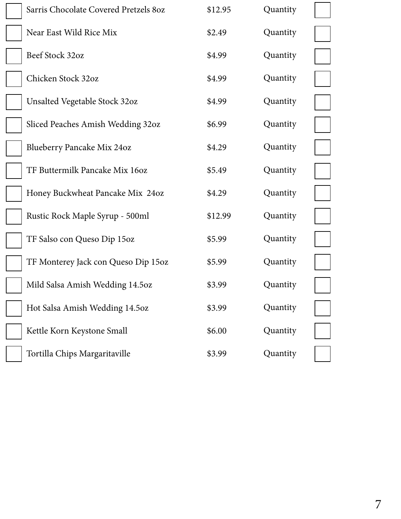| Sarris Chocolate Covered Pretzels 80z | \$12.95 | Quantity |  |
|---------------------------------------|---------|----------|--|
| Near East Wild Rice Mix               | \$2.49  | Quantity |  |
| Beef Stock 32oz                       | \$4.99  | Quantity |  |
| Chicken Stock 32oz                    | \$4.99  | Quantity |  |
| <b>Unsalted Vegetable Stock 32oz</b>  | \$4.99  | Quantity |  |
| Sliced Peaches Amish Wedding 32oz     | \$6.99  | Quantity |  |
| <b>Blueberry Pancake Mix 24oz</b>     | \$4.29  | Quantity |  |
| TF Buttermilk Pancake Mix 16oz        | \$5.49  | Quantity |  |
| Honey Buckwheat Pancake Mix 24oz      | \$4.29  | Quantity |  |
| Rustic Rock Maple Syrup - 500ml       | \$12.99 | Quantity |  |
| TF Salso con Queso Dip 15oz           | \$5.99  | Quantity |  |
| TF Monterey Jack con Queso Dip 15oz   | \$5.99  | Quantity |  |
| Mild Salsa Amish Wedding 14.5oz       | \$3.99  | Quantity |  |
| Hot Salsa Amish Wedding 14.5oz        | \$3.99  | Quantity |  |
| Kettle Korn Keystone Small            | \$6.00  | Quantity |  |
| Tortilla Chips Margaritaville         | \$3.99  | Quantity |  |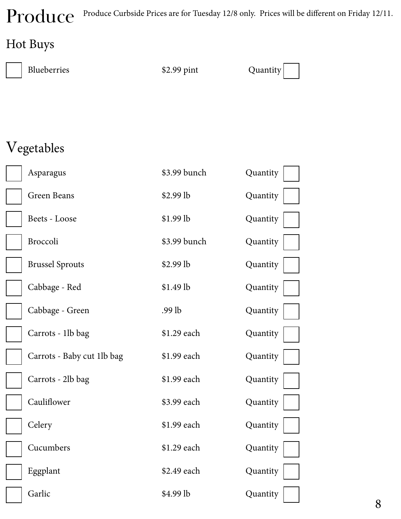Produce Curbside Prices are for Tuesday 12/8 only. Prices will be different on Friday 12/11.

#### Hot Buys

| Blueberries                | \$2.99 pint  | Quantity |
|----------------------------|--------------|----------|
|                            |              |          |
|                            |              |          |
| Vegetables                 |              |          |
| Asparagus                  | \$3.99 bunch | Quantity |
| Green Beans                | $$2.99$ lb   | Quantity |
| Beets - Loose              | \$1.99 lb    | Quantity |
| Broccoli                   | \$3.99 bunch | Quantity |
| <b>Brussel Sprouts</b>     | \$2.99 lb    | Quantity |
| Cabbage - Red              | \$1.49 lb    | Quantity |
| Cabbage - Green            | .99 lb       | Quantity |
| Carrots - 1lb bag          | \$1.29 each  | Quantity |
| Carrots - Baby cut 1lb bag | \$1.99 each  | Quantity |
| Carrots - 2lb bag          | \$1.99 each  | Quantity |
| Cauliflower                | \$3.99 each  | Quantity |
| Celery                     | \$1.99 each  | Quantity |
| Cucumbers                  | \$1.29 each  | Quantity |
| Eggplant                   | \$2.49 each  | Quantity |
| Garlic                     | \$4.99 lb    | Quantity |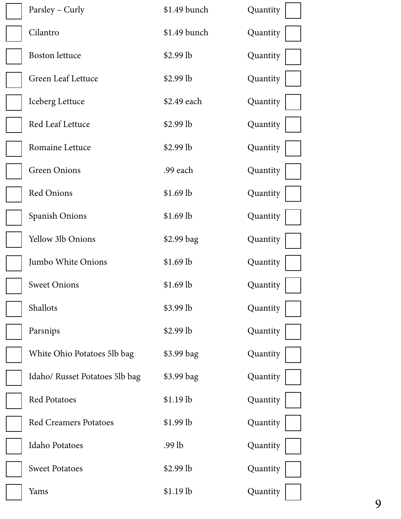| Parsley – Curly                | \$1.49 bunch  | Quantity |
|--------------------------------|---------------|----------|
| Cilantro                       | $$1.49$ bunch | Quantity |
| <b>Boston</b> lettuce          | $$2.99$ lb    | Quantity |
| Green Leaf Lettuce             | $$2.99$ lb    | Quantity |
| Iceberg Lettuce                | \$2.49 each   | Quantity |
| Red Leaf Lettuce               | $$2.99$ lb    | Quantity |
| Romaine Lettuce                | $$2.99$ lb    | Quantity |
| <b>Green Onions</b>            | .99 each      | Quantity |
| <b>Red Onions</b>              | $$1.69$ lb    | Quantity |
| Spanish Onions                 | $$1.69$ lb    | Quantity |
| Yellow 3lb Onions              | \$2.99 bag    | Quantity |
| Jumbo White Onions             | $$1.69$ lb    | Quantity |
| <b>Sweet Onions</b>            | $$1.69$ lb    | Quantity |
| Shallots                       | \$3.99 lb     | Quantity |
| Parsnips                       | $$2.99$ lb    | Quantity |
| White Ohio Potatoes 5lb bag    | \$3.99 bag    | Quantity |
| Idaho/ Russet Potatoes 5lb bag | \$3.99 bag    | Quantity |
| <b>Red Potatoes</b>            | \$1.19 lb     | Quantity |
| <b>Red Creamers Potatoes</b>   | $$1.99$ lb    | Quantity |
| <b>Idaho Potatoes</b>          | $.99$ lb      | Quantity |
| <b>Sweet Potatoes</b>          | $$2.99$ lb    | Quantity |
| Yams                           | \$1.19 lb     | Quantity |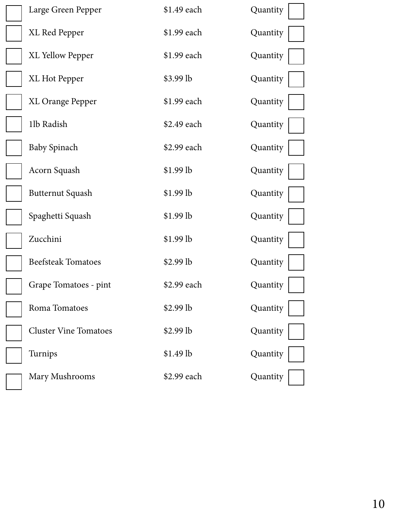| Large Green Pepper           | \$1.49 each | Quantity |
|------------------------------|-------------|----------|
| XL Red Pepper                | \$1.99 each | Quantity |
| <b>XL Yellow Pepper</b>      | \$1.99 each | Quantity |
| XL Hot Pepper                | $$3.99$ lb  | Quantity |
| <b>XL Orange Pepper</b>      | \$1.99 each | Quantity |
| 1lb Radish                   | \$2.49 each | Quantity |
| <b>Baby Spinach</b>          | \$2.99 each | Quantity |
| Acorn Squash                 | \$1.99 lb   | Quantity |
| <b>Butternut Squash</b>      | \$1.99 lb   | Quantity |
| Spaghetti Squash             | $$1.99$ lb  | Quantity |
| Zucchini                     | \$1.99 lb   | Quantity |
| <b>Beefsteak Tomatoes</b>    | $$2.99$ lb  | Quantity |
| Grape Tomatoes - pint        | \$2.99 each | Quantity |
| Roma Tomatoes                | \$2.99 lb   | Quantity |
| <b>Cluster Vine Tomatoes</b> | $$2.99$ lb  | Quantity |
| Turnips                      | \$1.49 lb   | Quantity |
| Mary Mushrooms               | \$2.99 each | Quantity |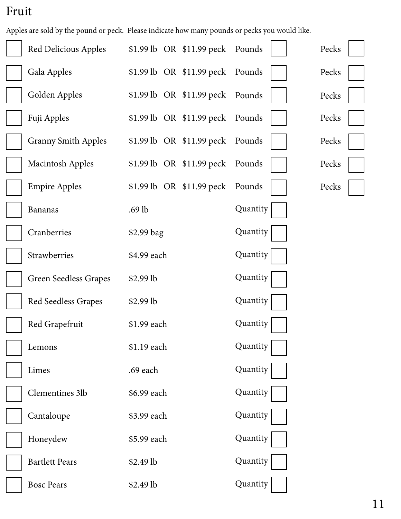#### Fruit

Apples are sold by the pound or peck. Please indicate how many pounds or pecks you would like.

| Red Delicious Apples         | \$1.99 lb OR \$11.99 peck Pounds |          | Pecks |
|------------------------------|----------------------------------|----------|-------|
| Gala Apples                  | \$1.99 lb OR \$11.99 peck Pounds |          | Pecks |
| Golden Apples                | \$1.99 lb OR \$11.99 peck Pounds |          | Pecks |
| Fuji Apples                  | \$1.99 lb OR \$11.99 peck Pounds |          | Pecks |
| <b>Granny Smith Apples</b>   | $$1.99$ lb OR $$11.99$ peck      | Pounds   | Pecks |
| <b>Macintosh Apples</b>      | \$1.99 lb OR \$11.99 peck Pounds |          | Pecks |
| <b>Empire Apples</b>         | \$1.99 lb OR \$11.99 peck Pounds |          | Pecks |
| <b>Bananas</b>               | $.69$ lb                         | Quantity |       |
| Cranberries                  | \$2.99 bag                       | Quantity |       |
| Strawberries                 | \$4.99 each                      | Quantity |       |
| <b>Green Seedless Grapes</b> | $$2.99$ lb                       | Quantity |       |
| Red Seedless Grapes          | $$2.99$ lb                       | Quantity |       |
| Red Grapefruit               | \$1.99 each                      | Quantity |       |
| Lemons                       | \$1.19 each                      | Quantity |       |
| Limes                        | .69 each                         | Quantity |       |
| Clementines 3lb              | \$6.99 each                      | Quantity |       |
| Cantaloupe                   | \$3.99 each                      | Quantity |       |
| Honeydew                     | \$5.99 each                      | Quantity |       |
| <b>Bartlett Pears</b>        | \$2.49 lb                        | Quantity |       |
| <b>Bosc Pears</b>            | \$2.49 lb                        | Quantity |       |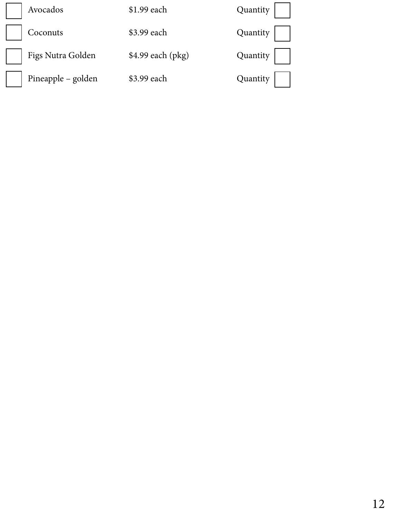| Avocados           | \$1.99 each       | Quantity |
|--------------------|-------------------|----------|
| Coconuts           | \$3.99 each       | Quantity |
| Figs Nutra Golden  | \$4.99 each (pkg) | Quantity |
| Pineapple – golden | \$3.99 each       | Quantity |